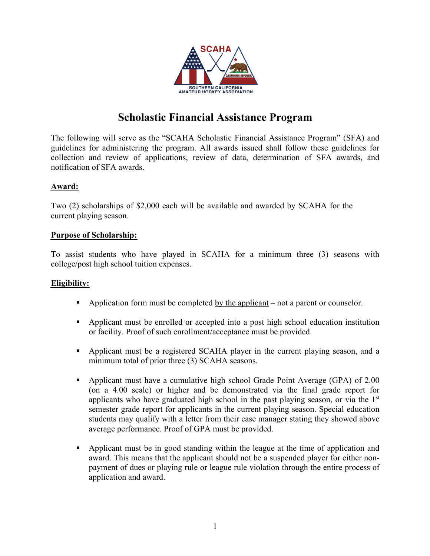

# **Scholastic Financial Assistance Program**

The following will serve as the "SCAHA Scholastic Financial Assistance Program" (SFA) and guidelines for administering the program. All awards issued shall follow these guidelines for collection and review of applications, review of data, determination of SFA awards, and notification of SFA awards.

### **Award:**

Two (2) scholarships of \$2,000 each will be available and awarded by SCAHA for the current playing season.

#### **Purpose of Scholarship:**

To assist students who have played in SCAHA for a minimum three (3) seasons with college/post high school tuition expenses.

#### **Eligibility:**

- **•** Application form must be completed <u>by the applicant</u> not a parent or counselor.
- § Applicant must be enrolled or accepted into a post high school education institution or facility. Proof of such enrollment/acceptance must be provided.
- § Applicant must be a registered SCAHA player in the current playing season, and a minimum total of prior three (3) SCAHA seasons.
- § Applicant must have a cumulative high school Grade Point Average (GPA) of 2.00 (on a 4.00 scale) or higher and be demonstrated via the final grade report for applicants who have graduated high school in the past playing season, or via the  $1<sup>st</sup>$ semester grade report for applicants in the current playing season. Special education students may qualify with a letter from their case manager stating they showed above average performance. Proof of GPA must be provided.
- § Applicant must be in good standing within the league at the time of application and award. This means that the applicant should not be a suspended player for either nonpayment of dues or playing rule or league rule violation through the entire process of application and award.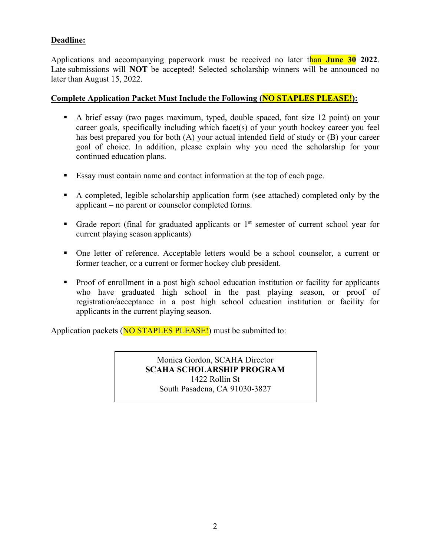## **Deadline:**

Applications and accompanying paperwork must be received no later than **June 30 2022**. Late submissions will **NOT** be accepted! Selected scholarship winners will be announced no later than August 15, 2022.

#### **Complete Application Packet Must Include the Following (NO STAPLES PLEASE!):**

- § A brief essay (two pages maximum, typed, double spaced, font size 12 point) on your career goals, specifically including which facet(s) of your youth hockey career you feel has best prepared you for both (A) your actual intended field of study or (B) your career goal of choice. In addition, please explain why you need the scholarship for your continued education plans.
- Essay must contain name and contact information at the top of each page.
- § A completed, legible scholarship application form (see attached) completed only by the applicant – no parent or counselor completed forms.
- Grade report (final for graduated applicants or  $1<sup>st</sup>$  semester of current school year for current playing season applicants)
- § One letter of reference. Acceptable letters would be a school counselor, a current or former teacher, or a current or former hockey club president.
- Proof of enrollment in a post high school education institution or facility for applicants who have graduated high school in the past playing season, or proof of registration/acceptance in a post high school education institution or facility for applicants in the current playing season.

Application packets (NO STAPLES PLEASE!) must be submitted to:

Monica Gordon, SCAHA Director **SCAHA SCHOLARSHIP PROGRAM**  1422 Rollin St South Pasadena, CA 91030-3827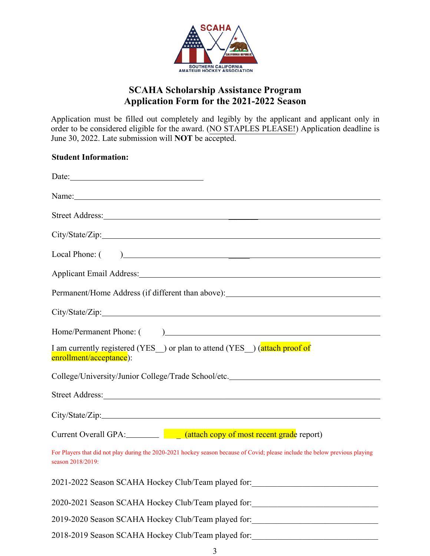

# **SCAHA Scholarship Assistance Program Application Form for the 2021-2022 Season**

Application must be filled out completely and legibly by the applicant and applicant only in order to be considered eligible for the award. (NO STAPLES PLEASE!) Application deadline is June 30, 2022. Late submission will **NOT** be accepted.

| <b>Student Information:</b>                                                                                                                                                                                                    |
|--------------------------------------------------------------------------------------------------------------------------------------------------------------------------------------------------------------------------------|
|                                                                                                                                                                                                                                |
| Name: Name and the second contract of the second contract of the second contract of the second contract of the second contract of the second contract of the second contract of the second contract of the second contract of  |
|                                                                                                                                                                                                                                |
|                                                                                                                                                                                                                                |
| Local Phone: ( )                                                                                                                                                                                                               |
|                                                                                                                                                                                                                                |
| Permanent/Home Address (if different than above): Name of the set of the set of the set of the set of the set of the set of the set of the set of the set of the set of the set of the set of the set of the set of the set of |
|                                                                                                                                                                                                                                |
|                                                                                                                                                                                                                                |
| I am currently registered (YES ) or plan to attend (YES ) (attach proof of<br>enrollment/acceptance):                                                                                                                          |
| College/University/Junior College/Trade School/etc._____________________________                                                                                                                                               |
|                                                                                                                                                                                                                                |
|                                                                                                                                                                                                                                |
| Current Overall GPA: __________ attach copy of most recent grade report)                                                                                                                                                       |
| For Players that did not play during the 2020-2021 hockey season because of Covid; please include the below previous playing<br>season 2018/2019:                                                                              |
| 2021-2022 Season SCAHA Hockey Club/Team played for:                                                                                                                                                                            |
| 2020-2021 Season SCAHA Hockey Club/Team played for:                                                                                                                                                                            |
| 2019-2020 Season SCAHA Hockey Club/Team played for:<br><u> 1989 - Johann Stoff, deutscher Stoff, der Stoff, der Stoff, der Stoff, der Stoff, der Stoff, der Stoff, der S</u>                                                   |

2018-2019 Season SCAHA Hockey Club/Team played for: